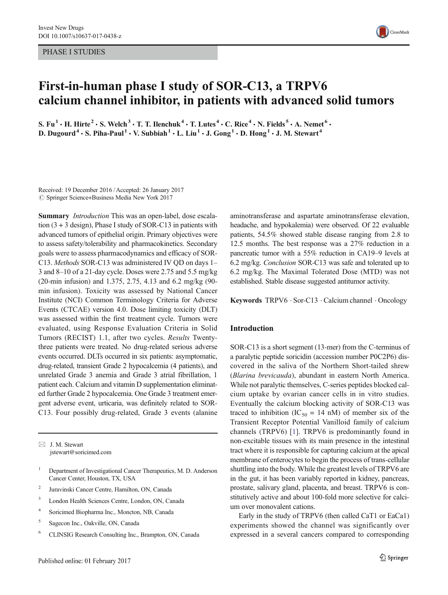PHASE I STUDIES



# First-in-human phase I study of SOR-C13, a TRPV6 calcium channel inhibitor, in patients with advanced solid tumors

S. Fu<sup>1</sup>  $\cdot$  H. Hirte<sup>2</sup>  $\cdot$  S. Welch<sup>3</sup>  $\cdot$  T. T. Ilenchuk<sup>4</sup>  $\cdot$  T. Lutes<sup>4</sup>  $\cdot$  C. Rice<sup>4</sup>  $\cdot$  N. Fields<sup>5</sup>  $\cdot$  A. Nemet<sup>6</sup>  $\cdot$ D. Dugourd<sup>4</sup>  $\cdot$  S. Piha-Paul<sup>1</sup>  $\cdot$  V. Subbiah<sup>1</sup>  $\cdot$  L. Liu<sup>1</sup>  $\cdot$  J. Gong<sup>1</sup>  $\cdot$  D. Hong<sup>1</sup>  $\cdot$  J. M. Stewart<sup>4</sup>

Received: 19 December 2016 /Accepted: 26 January 2017  $\circled{c}$  Springer Science+Business Media New York 2017

Summary *Introduction* This was an open-label, dose escalation (3 + 3 design), Phase I study of SOR-C13 in patients with advanced tumors of epithelial origin. Primary objectives were to assess safety/tolerability and pharmacokinetics. Secondary goals were to assess pharmacodynamics and efficacy of SOR-C13. Methods SOR-C13 was administered IV QD on days 1– 3 and 8–10 of a 21-day cycle. Doses were 2.75 and 5.5 mg/kg (20-min infusion) and 1.375, 2.75, 4.13 and 6.2 mg/kg (90 min infusion). Toxicity was assessed by National Cancer Institute (NCI) Common Terminology Criteria for Adverse Events (CTCAE) version 4.0. Dose limiting toxicity (DLT) was assessed within the first treatment cycle. Tumors were evaluated, using Response Evaluation Criteria in Solid Tumors (RECIST) 1.1, after two cycles. Results Twentythree patients were treated. No drug-related serious adverse events occurred. DLTs occurred in six patients: asymptomatic, drug-related, transient Grade 2 hypocalcemia (4 patients), and unrelated Grade 3 anemia and Grade 3 atrial fibrillation, 1 patient each. Calcium and vitamin D supplementation eliminated further Grade 2 hypocalcemia. One Grade 3 treatment emergent adverse event, urticaria, was definitely related to SOR-C13. Four possibly drug-related, Grade 3 events (alanine

 $\boxtimes$  J. M. Stewart jstewart@soricimed.com

- <sup>1</sup> Department of Investigational Cancer Therapeutics, M. D. Anderson Cancer Center, Houston, TX, USA
- <sup>2</sup> Juravinski Cancer Centre, Hamilton, ON, Canada
- <sup>3</sup> London Health Sciences Centre, London, ON, Canada
- <sup>4</sup> Soricimed Biopharma Inc., Moncton, NB, Canada
- <sup>5</sup> Sagecon Inc., Oakville, ON, Canada
- <sup>6</sup> CLINSIG Research Consulting Inc., Brampton, ON, Canada

aminotransferase and aspartate aminotransferase elevation, headache, and hypokalemia) were observed. Of 22 evaluable patients, 54.5% showed stable disease ranging from 2.8 to 12.5 months. The best response was a 27% reduction in a pancreatic tumor with a 55% reduction in CA19–9 levels at 6.2 mg/kg. Conclusion SOR-C13 was safe and tolerated up to 6.2 mg/kg. The Maximal Tolerated Dose (MTD) was not established. Stable disease suggested antitumor activity.

Keywords TRPV6 . Sor-C13 . Calcium channel . Oncology

# Introduction

SOR-C13 is a short segment (13-mer) from the C-terminus of a paralytic peptide soricidin (accession number P0C2P6) discovered in the saliva of the Northern Short-tailed shrew (Blarina brevicauda), abundant in eastern North America. While not paralytic themselves, C-series peptides blocked calcium uptake by ovarian cancer cells in in vitro studies. Eventually the calcium blocking activity of SOR-C13 was traced to inhibition (IC<sub>50</sub> = 14 nM) of member six of the Transient Receptor Potential Vanilloid family of calcium channels (TRPV6) [[1\]](#page-9-0). TRPV6 is predominantly found in non-excitable tissues with its main presence in the intestinal tract where it is responsible for capturing calcium at the apical membrane of enterocytes to begin the process of trans-cellular shuttling into the body. While the greatest levels of TRPV6 are in the gut, it has been variably reported in kidney, pancreas, prostate, salivary gland, placenta, and breast. TRPV6 is constitutively active and about 100-fold more selective for calcium over monovalent cations.

Early in the study of TRPV6 (then called CaT1 or EaCa1) experiments showed the channel was significantly over expressed in a several cancers compared to corresponding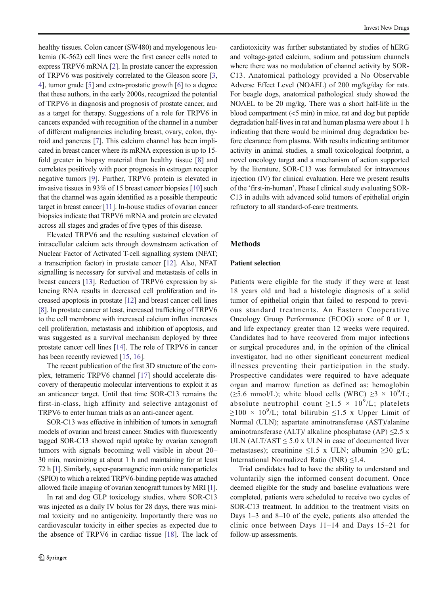healthy tissues. Colon cancer (SW480) and myelogenous leukemia (K-562) cell lines were the first cancer cells noted to express TRPV6 mRNA [\[2\]](#page-9-0). In prostate cancer the expression of TRPV6 was positively correlated to the Gleason score [[3,](#page-9-0) [4\]](#page-9-0), tumor grade [\[5\]](#page-9-0) and extra-prostatic growth [[6](#page-9-0)] to a degree that these authors, in the early 2000s, recognized the potential of TRPV6 in diagnosis and prognosis of prostate cancer, and as a target for therapy. Suggestions of a role for TRPV6 in cancers expanded with recognition of the channel in a number of different malignancies including breast, ovary, colon, thyroid and pancreas [\[7\]](#page-9-0). This calcium channel has been implicated in breast cancer where its mRNA expression is up to 15 fold greater in biopsy material than healthy tissue [[8\]](#page-9-0) and correlates positively with poor prognosis in estrogen receptor negative tumors [[9\]](#page-9-0). Further, TRPV6 protein is elevated in invasive tissues in 93% of 15 breast cancer biopsies [\[10\]](#page-9-0) such that the channel was again identified as a possible therapeutic target in breast cancer [\[11\]](#page-9-0). In-house studies of ovarian cancer biopsies indicate that TRPV6 mRNA and protein are elevated across all stages and grades of five types of this disease.

Elevated TRPV6 and the resulting sustained elevation of intracellular calcium acts through downstream activation of Nuclear Factor of Activated T-cell signalling system (NFAT; a transcription factor) in prostate cancer [[12\]](#page-9-0). Also, NFAT signalling is necessary for survival and metastasis of cells in breast cancers [\[13](#page-9-0)]. Reduction of TRPV6 expression by silencing RNA results in decreased cell proliferation and increased apoptosis in prostate [\[12](#page-9-0)] and breast cancer cell lines [\[8\]](#page-9-0). In prostate cancer at least, increased trafficking of TRPV6 to the cell membrane with increased calcium influx increases cell proliferation, metastasis and inhibition of apoptosis, and was suggested as a survival mechanism deployed by three prostate cancer cell lines [\[14\]](#page-9-0). The role of TRPV6 in cancer has been recently reviewed [\[15](#page-9-0), [16](#page-9-0)].

The recent publication of the first 3D structure of the complex, tetrameric TRPV6 channel [[17](#page-9-0)] should accelerate discovery of therapeutic molecular interventions to exploit it as an anticancer target. Until that time SOR-C13 remains the first-in-class, high affinity and selective antagonist of TRPV6 to enter human trials as an anti-cancer agent.

SOR-C13 was effective in inhibition of tumors in xenograft models of ovarian and breast cancer. Studies with fluorescently tagged SOR-C13 showed rapid uptake by ovarian xenograft tumors with signals becoming well visible in about 20– 30 min, maximizing at about 1 h and maintaining for at least 72 h [[1\]](#page-9-0). Similarly, super-paramagnetic iron oxide nanoparticles (SPIO) to which a related TRPV6-binding peptide was attached allowed facile imaging of ovarian xenograft tumors by MRI [\[1\]](#page-9-0).

In rat and dog GLP toxicology studies, where SOR-C13 was injected as a daily IV bolus for 28 days, there was minimal toxicity and no antigenicity. Importantly there was no cardiovascular toxicity in either species as expected due to the absence of TRPV6 in cardiac tissue [[18\]](#page-9-0). The lack of cardiotoxicity was further substantiated by studies of hERG and voltage-gated calcium, sodium and potassium channels where there was no modulation of channel activity by SOR-C13. Anatomical pathology provided a No Observable Adverse Effect Level (NOAEL) of 200 mg/kg/day for rats. For beagle dogs, anatomical pathological study showed the NOAEL to be 20 mg/kg. There was a short half-life in the blood compartment  $(< 5$  min) in mice, rat and dog but peptide degradation half-lives in rat and human plasma were about 1 h indicating that there would be minimal drug degradation before clearance from plasma. With results indicating antitumor activity in animal studies, a small toxicological footprint, a novel oncology target and a mechanism of action supported by the literature, SOR-C13 was formulated for intravenous injection (IV) for clinical evaluation. Here we present results of the 'first-in-human', Phase I clinical study evaluating SOR-C13 in adults with advanced solid tumors of epithelial origin refractory to all standard-of-care treatments.

### Methods

# Patient selection

Patients were eligible for the study if they were at least 18 years old and had a histologic diagnosis of a solid tumor of epithelial origin that failed to respond to previous standard treatments. An Eastern Cooperative Oncology Group Performance (ECOG) score of 0 or 1, and life expectancy greater than 12 weeks were required. Candidates had to have recovered from major infections or surgical procedures and, in the opinion of the clinical investigator, had no other significant concurrent medical illnesses preventing their participation in the study. Prospective candidates were required to have adequate organ and marrow function as defined as: hemoglobin ( $\geq$ 5.6 mmol/L); white blood cells (WBC)  $\geq$ 3 × 10<sup>9</sup>/L; absolute neutrophil count  $\geq 1.5 \times 10^9$ /L; platelets  $\geq$ 100 × 10<sup>9</sup>/L; total bilirubin  $\leq$ 1.5 x Upper Limit of Normal (ULN); aspartate aminotransferase (AST)/alanine aminotransferase (ALT)/ alkaline phosphatase (AP)  $\leq$ 2.5 x ULN (ALT/AST  $\leq$  5.0 x ULN in case of documented liver metastases); creatinine ≤1.5 x ULN; albumin ≥30 g/L; International Normalized Ratio (INR)  $\leq$ 1.4.

Trial candidates had to have the ability to understand and voluntarily sign the informed consent document. Once deemed eligible for the study and baseline evaluations were completed, patients were scheduled to receive two cycles of SOR-C13 treatment. In addition to the treatment visits on Days 1–3 and 8–10 of the cycle, patients also attended the clinic once between Days 11–14 and Days 15–21 for follow-up assessments.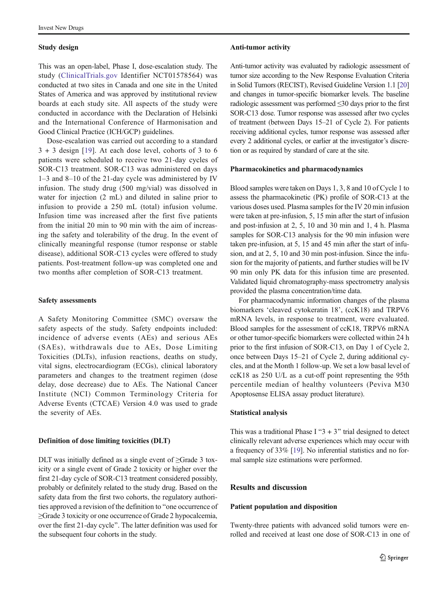## Study design

This was an open-label, Phase I, dose-escalation study. The study ([ClinicalTrials.gov](http://clinicaltrials.gov) Identifier NCT01578564) was conducted at two sites in Canada and one site in the United States of America and was approved by institutional review boards at each study site. All aspects of the study were conducted in accordance with the Declaration of Helsinki and the International Conference of Harmonisation and Good Clinical Practice (ICH/GCP) guidelines.

Dose-escalation was carried out according to a standard  $3 + 3$  design [\[19\]](#page-9-0). At each dose level, cohorts of 3 to 6 patients were scheduled to receive two 21-day cycles of SOR-C13 treatment. SOR-C13 was administered on days 1–3 and 8–10 of the 21-day cycle was administered by IV infusion. The study drug (500 mg/vial) was dissolved in water for injection (2 mL) and diluted in saline prior to infusion to provide a 250 mL (total) infusion volume. Infusion time was increased after the first five patients from the initial 20 min to 90 min with the aim of increasing the safety and tolerability of the drug. In the event of clinically meaningful response (tumor response or stable disease), additional SOR-C13 cycles were offered to study patients. Post-treatment follow-up was completed one and two months after completion of SOR-C13 treatment.

### Safety assessments

A Safety Monitoring Committee (SMC) oversaw the safety aspects of the study. Safety endpoints included: incidence of adverse events (AEs) and serious AEs (SAEs), withdrawals due to AEs, Dose Limiting Toxicities (DLTs), infusion reactions, deaths on study, vital signs, electrocardiogram (ECGs), clinical laboratory parameters and changes to the treatment regimen (dose delay, dose decrease) due to AEs. The National Cancer Institute (NCI) Common Terminology Criteria for Adverse Events (CTCAE) Version 4.0 was used to grade the severity of AEs.

#### Definition of dose limiting toxicities (DLT)

DLT was initially defined as a single event of ≥Grade 3 toxicity or a single event of Grade 2 toxicity or higher over the first 21-day cycle of SOR-C13 treatment considered possibly, probably or definitely related to the study drug. Based on the safety data from the first two cohorts, the regulatory authorities approved a revision of the definition to "one occurrence of ≥Grade 3 toxicity or one occurrence of Grade 2 hypocalcemia, over the first 21-day cycle^. The latter definition was used for the subsequent four cohorts in the study.

#### Anti-tumor activity

Anti-tumor activity was evaluated by radiologic assessment of tumor size according to the New Response Evaluation Criteria in Solid Tumors (RECIST), Revised Guideline Version 1.1 [[20](#page-9-0)] and changes in tumor-specific biomarker levels. The baseline radiologic assessment was performed ≤30 days prior to the first SOR-C13 dose. Tumor response was assessed after two cycles of treatment (between Days 15–21 of Cycle 2). For patients receiving additional cycles, tumor response was assessed after every 2 additional cycles, or earlier at the investigator's discretion or as required by standard of care at the site.

### Pharmacokinetics and pharmacodynamics

Blood samples were taken on Days 1, 3, 8 and 10 of Cycle 1 to assess the pharmacokinetic (PK) profile of SOR-C13 at the various doses used. Plasma samples for the IV 20 min infusion were taken at pre-infusion, 5, 15 min after the start of infusion and post-infusion at 2, 5, 10 and 30 min and 1, 4 h. Plasma samples for SOR-C13 analysis for the 90 min infusion were taken pre-infusion, at 5, 15 and 45 min after the start of infusion, and at 2, 5, 10 and 30 min post-infusion. Since the infusion for the majority of patients, and further studies will be IV 90 min only PK data for this infusion time are presented. Validated liquid chromatography-mass spectrometry analysis provided the plasma concentration/time data.

For pharmacodynamic information changes of the plasma biomarkers 'cleaved cytokeratin 18', (ccK18) and TRPV6 mRNA levels, in response to treatment, were evaluated. Blood samples for the assessment of ccK18, TRPV6 mRNA or other tumor-specific biomarkers were collected within 24 h prior to the first infusion of SOR-C13, on Day 1 of Cycle 2, once between Days 15–21 of Cycle 2, during additional cycles, and at the Month 1 follow-up. We set a low basal level of ccK18 as 250 U/L as a cut-off point representing the 95th percentile median of healthy volunteers (Peviva M30 Apoptosense ELISA assay product literature).

## Statistical analysis

This was a traditional Phase I " $3+3$ " trial designed to detect clinically relevant adverse experiences which may occur with a frequency of 33% [[19](#page-9-0)]. No inferential statistics and no formal sample size estimations were performed.

# Results and discussion

#### Patient population and disposition

Twenty-three patients with advanced solid tumors were enrolled and received at least one dose of SOR-C13 in one of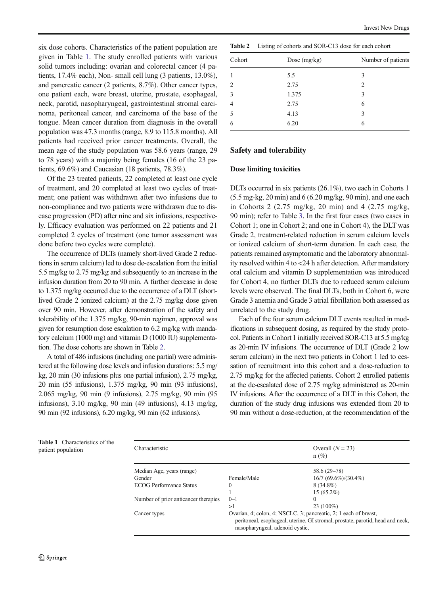six dose cohorts. Characteristics of the patient population are given in Table 1. The study enrolled patients with various solid tumors including: ovarian and colorectal cancer (4 patients, 17.4% each), Non- small cell lung (3 patients, 13.0%), and pancreatic cancer (2 patients, 8.7%). Other cancer types, one patient each, were breast, uterine, prostate, esophageal, neck, parotid, nasopharyngeal, gastrointestinal stromal carcinoma, peritoneal cancer, and carcinoma of the base of the tongue. Mean cancer duration from diagnosis in the overall population was 47.3 months (range, 8.9 to 115.8 months). All patients had received prior cancer treatments. Overall, the mean age of the study population was 58.6 years (range, 29 to 78 years) with a majority being females (16 of the 23 patients, 69.6%) and Caucasian (18 patients, 78.3%).

Of the 23 treated patients, 22 completed at least one cycle of treatment, and 20 completed at least two cycles of treatment; one patient was withdrawn after two infusions due to non-compliance and two patients were withdrawn due to disease progression (PD) after nine and six infusions, respectively. Efficacy evaluation was performed on 22 patients and 21 completed 2 cycles of treatment (one tumor assessment was done before two cycles were complete).

The occurrence of DLTs (namely short-lived Grade 2 reductions in serum calcium) led to dose de-escalation from the initial 5.5 mg/kg to 2.75 mg/kg and subsequently to an increase in the infusion duration from 20 to 90 min. A further decrease in dose to 1.375 mg/kg occurred due to the occurrence of a DLT (shortlived Grade 2 ionized calcium) at the 2.75 mg/kg dose given over 90 min. However, after demonstration of the safety and tolerability of the 1.375 mg/kg, 90-min regimen, approval was given for resumption dose escalation to 6.2 mg/kg with mandatory calcium (1000 mg) and vitamin D (1000 IU) supplementation. The dose cohorts are shown in Table 2.

A total of 486 infusions (including one partial) were administered at the following dose levels and infusion durations: 5.5 mg/ kg, 20 min (30 infusions plus one partial infusion), 2.75 mg/kg, 20 min (55 infusions), 1.375 mg/kg, 90 min (93 infusions), 2.065 mg/kg, 90 min (9 infusions), 2.75 mg/kg, 90 min (95 infusions), 3.10 mg/kg, 90 min (49 infusions), 4.13 mg/kg, 90 min (92 infusions), 6.20 mg/kg, 90 min (62 infusions).

| <b>Table 2</b> | Listing of cohorts and SOR-C13 dose for each cohort |  |
|----------------|-----------------------------------------------------|--|

Invest New Drugs

| Cohort         | Dose $(mg/kg)$ | Number of patients |
|----------------|----------------|--------------------|
|                | 5.5            | 3                  |
| 2              | 2.75           | 2                  |
| 3              | 1.375          | 3                  |
| $\overline{4}$ | 2.75           | 6                  |
| 5              | 4.13           | 3                  |
| 6              | 6.20           | 6                  |
|                |                |                    |

# Safety and tolerability

## Dose limiting toxicities

DLTs occurred in six patients (26.1%), two each in Cohorts 1 (5.5 mg-kg, 20 min) and 6 (6.20 mg/kg, 90 min), and one each in Cohorts 2 (2.75 mg/kg, 20 min) and 4 (2.75 mg/kg, 90 min); refer to Table [3](#page-4-0). In the first four cases (two cases in Cohort 1; one in Cohort 2; and one in Cohort 4), the DLT was Grade 2, treatment-related reduction in serum calcium levels or ionized calcium of short-term duration. In each case, the patients remained asymptomatic and the laboratory abnormality resolved within 4 to <24 h after detection. After mandatory oral calcium and vitamin D supplementation was introduced for Cohort 4, no further DLTs due to reduced serum calcium levels were observed. The final DLTs, both in Cohort 6, were Grade 3 anemia and Grade 3 atrial fibrillation both assessed as unrelated to the study drug.

Each of the four serum calcium DLT events resulted in modifications in subsequent dosing, as required by the study protocol. Patients in Cohort 1 initially received SOR-C13 at 5.5 mg/kg as 20-min IV infusions. The occurrence of DLT (Grade 2 low serum calcium) in the next two patients in Cohort 1 led to cessation of recruitment into this cohort and a dose-reduction to 2.75 mg/kg for the affected patients. Cohort 2 enrolled patients at the de-escalated dose of 2.75 mg/kg administered as 20-min IV infusions. After the occurrence of a DLT in this Cohort, the duration of the study drug infusions was extended from 20 to 90 min without a dose-reduction, at the recommendation of the

| <b>Table 1</b> Characteristics of the<br>patient population | Characteristic                       | Overall $(N = 23)$<br>$n(\%)$                                                                                                                                                         |                          |  |  |  |
|-------------------------------------------------------------|--------------------------------------|---------------------------------------------------------------------------------------------------------------------------------------------------------------------------------------|--------------------------|--|--|--|
|                                                             | Median Age, years (range)            | $58.6(29-78)$                                                                                                                                                                         |                          |  |  |  |
|                                                             | Gender                               | Female/Male                                                                                                                                                                           | $16/7 (69.6\%)/(30.4\%)$ |  |  |  |
|                                                             | <b>ECOG Performance Status</b>       | 0                                                                                                                                                                                     | $8(34.8\%)$              |  |  |  |
|                                                             |                                      |                                                                                                                                                                                       | $15(65.2\%)$             |  |  |  |
|                                                             | Number of prior anticancer therapies | $0 - 1$                                                                                                                                                                               | $\Omega$                 |  |  |  |
|                                                             |                                      | >1                                                                                                                                                                                    | $23(100\%)$              |  |  |  |
|                                                             | Cancer types                         | Ovarian, 4; colon, 4; NSCLC, 3; pancreatic, 2; 1 each of breast,<br>peritoneal, esophageal, uterine, GI stromal, prostate, parotid, head and neck,<br>nasopharyngeal, adenoid cystic, |                          |  |  |  |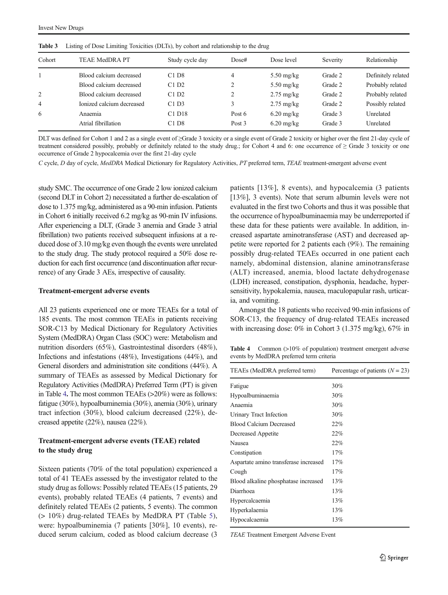| Cohort         | <b>TEAE MedDRA PT</b>     | Study cycle day     | Dose#  | Dose level           | Severity | Relationship       |
|----------------|---------------------------|---------------------|--------|----------------------|----------|--------------------|
|                | Blood calcium decreased   | $C1$ D <sub>8</sub> | 4      | $5.50 \text{ mg/kg}$ | Grade 2  | Definitely related |
|                | Blood calcium decreased   | C1D2                |        | $5.50 \text{ mg/kg}$ | Grade 2  | Probably related   |
| 2              | Blood calcium decreased   | C1D2                |        | $2.75 \text{ mg/kg}$ | Grade 2  | Probably related   |
| $\overline{4}$ | Ionized calcium decreased | C1D3                |        | $2.75 \text{ mg/kg}$ | Grade 2  | Possibly related   |
| 6              | Anaemia                   | C1 D18              | Post 6 | $6.20 \text{ mg/kg}$ | Grade 3  | Unrelated          |
|                | Atrial fibrillation       | C1D8                | Post 3 | $6.20 \text{ mg/kg}$ | Grade 3  | <b>Unrelated</b>   |

<span id="page-4-0"></span>Table 3 Listing of Dose Limiting Toxicities (DLTs), by cohort and relationship to the drug

DLT was defined for Cohort 1 and 2 as a single event of ≥Grade 3 toxicity or a single event of Grade 2 toxicity or higher over the first 21-day cycle of treatment considered possibly, probably or definitely related to the study drug.; for Cohort 4 and 6: one occurrence of ≥ Grade 3 toxicity or one occurrence of Grade 2 hypocalcemia over the first 21-day cycle

C cycle, D day of cycle, MedDRA Medical Dictionary for Regulatory Activities, PT preferred term, TEAE treatment-emergent adverse event

study SMC. The occurrence of one Grade 2 low ionized calcium (second DLT in Cohort 2) necessitated a further de-escalation of dose to 1.375 mg/kg, administered as a 90-min infusion. Patients in Cohort 6 initially received 6.2 mg/kg as 90-min IV infusions. After experiencing a DLT, (Grade 3 anemia and Grade 3 atrial fibrillation) two patients received subsequent infusions at a reduced dose of 3.10 mg/kg even though the events were unrelated to the study drug. The study protocol required a 50% dose reduction for each first occurrence (and discontinuation after recurrence) of any Grade 3 AEs, irrespective of causality.

#### Treatment-emergent adverse events

All 23 patients experienced one or more TEAEs for a total of 185 events. The most common TEAEs in patients receiving SOR-C13 by Medical Dictionary for Regulatory Activities System (MedDRA) Organ Class (SOC) were: Metabolism and nutrition disorders (65%), Gastrointestinal disorders (48%), Infections and infestations (48%), Investigations (44%), and General disorders and administration site conditions (44%). A summary of TEAEs as assessed by Medical Dictionary for Regulatory Activities (MedDRA) Preferred Term (PT) is given in Table 4. The most common TEAEs (>20%) were as follows: fatigue (30%), hypoalbuminemia (30%), anemia (30%), urinary tract infection (30%), blood calcium decreased (22%), decreased appetite (22%), nausea (22%).

# Treatment-emergent adverse events (TEAE) related to the study drug

Sixteen patients (70% of the total population) experienced a total of 41 TEAEs assessed by the investigator related to the study drug as follows: Possibly related TEAEs (15 patients, 29 events), probably related TEAEs (4 patients, 7 events) and definitely related TEAEs (2 patients, 5 events). The common (> 10%) drug-related TEAEs by MedDRA PT (Table [5](#page-5-0)), were: hypoalbuminemia (7 patients [30%], 10 events), reduced serum calcium, coded as blood calcium decrease (3 patients [13%], 8 events), and hypocalcemia (3 patients [13%], 3 events). Note that serum albumin levels were not evaluated in the first two Cohorts and thus it was possible that the occurrence of hypoalbuminaemia may be underreported if these data for these patients were available. In addition, increased aspartate aminotransferase (AST) and decreased appetite were reported for 2 patients each (9%). The remaining possibly drug-related TEAEs occurred in one patient each namely, abdominal distension, alanine aminotransferase (ALT) increased, anemia, blood lactate dehydrogenase (LDH) increased, constipation, dysphonia, headache, hypersensitivity, hypokalemia, nausea, maculopapular rash, urticaria, and vomiting.

Amongst the 18 patients who received 90-min infusions of SOR-C13, the frequency of drug-related TEAEs increased with increasing dose: 0% in Cohort 3 (1.375 mg/kg), 67% in

Table 4 Common (>10% of population) treatment emergent adverse events by MedDRA preferred term criteria

| TEAEs (MedDRA preferred term)         | Percentage of patients $(N = 23)$ |
|---------------------------------------|-----------------------------------|
| Fatigue                               | 30%                               |
| Hypoalbuminaemia                      | 30%                               |
| Anaemia                               | 30%                               |
| Urinary Tract Infection               | 30%                               |
| <b>Blood Calcium Decreased</b>        | 22%                               |
| Decreased Appetite                    | 22%                               |
| Nausea                                | 22%                               |
| Constipation                          | 17%                               |
| Aspartate amino transferase increased | 17%                               |
| Cough                                 | 17%                               |
| Blood alkaline phosphatase increased  | 13%                               |
| Diarrhoea                             | 13%                               |
| Hypercalcaemia                        | 13%                               |
| Hyperkalaemia                         | 13%                               |
| Hypocalcaemia                         | 13%                               |
|                                       |                                   |

TEAE Treatment Emergent Adverse Event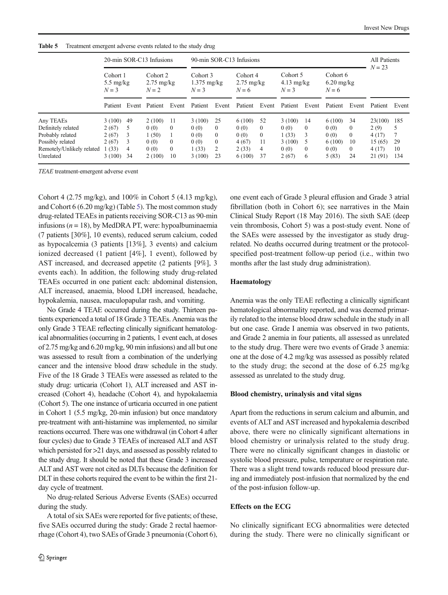|                           |                                          |     | 20-min SOR-C13 Infusions                  |          | 90-min SOR-C13 Infusions             |              |                                           |          |                                           |          |                                   | All Patients<br>$N = 23$ |         |       |
|---------------------------|------------------------------------------|-----|-------------------------------------------|----------|--------------------------------------|--------------|-------------------------------------------|----------|-------------------------------------------|----------|-----------------------------------|--------------------------|---------|-------|
|                           | Cohort 1<br>$5.5 \text{ mg/kg}$<br>$N=3$ |     | Cohort 2<br>$2.75 \text{ mg/kg}$<br>$N=2$ |          | Cohort 3<br>$1.375$ mg/kg<br>$N = 3$ |              | Cohort 4<br>$2.75 \text{ mg/kg}$<br>$N=6$ |          | Cohort 5<br>$4.13 \text{ mg/kg}$<br>$N=3$ |          | Cohort 6<br>$6.20$ mg/kg<br>$N=6$ |                          |         |       |
|                           |                                          |     | Patient Event Patient                     | Event    | Patient                              | Event        | Patient                                   | Event    | Patient                                   | Event    | Patient                           | Event                    | Patient | Event |
| Any TEAEs                 | 3(100)                                   | -49 | 2(100)                                    | - 11     | 3(100)                               | 25           | 6(100)                                    | 52       | 3(100)                                    | 14       | 6 (100)                           | 34                       | 23(100) | 185   |
| Definitely related        | 2(67)                                    | 5   | 0(0)                                      | $\Omega$ | 0(0)                                 | $\theta$     | 0(0)                                      | $\left($ | 0(0)                                      | $\theta$ | 0(0)                              | $\left($                 | 2(9)    |       |
| Probably related          | 2(67)                                    | 3   | 1(50)                                     |          | 0(0)                                 | $\theta$     | 0(0)                                      | $\left($ | 1(33)                                     | 3        | 0(0)                              | $\Omega$                 | 4(17)   | 7     |
| Possibly related          | 2(67)                                    | 3   | 0(0)                                      | $\Omega$ | 0(0)                                 | $\mathbf{0}$ | 4(67)                                     | 11       | 3(100)                                    | 5        | 6(100)                            | 10                       | 15(65)  | 29    |
| Remotely/Unlikely related | (33)                                     | 4   | 0(0)                                      | $\theta$ | 1(33)                                | 2            | 2(33)                                     | 4        | 0(0)                                      | $\theta$ | 0(0)                              | $\theta$                 | 4(17)   | 10    |
| Unrelated                 | 3(100)                                   | -34 | 2(100)                                    | 10       | 3(100)                               | 23           | 6(100)                                    | 37       | 2(67)                                     | 6        | 5(83)                             | 24                       | 21(91)  | 134   |

<span id="page-5-0"></span>

| <b>Table 5</b> | Treatment emergent adverse events related to the study drug |  |  |
|----------------|-------------------------------------------------------------|--|--|
|----------------|-------------------------------------------------------------|--|--|

TEAE treatment-emergent adverse event

Cohort 4 (2.75 mg/kg), and 100% in Cohort 5 (4.13 mg/kg), and Cohort 6 (6.20 mg/kg) (Table 5). The most common study drug-related TEAEs in patients receiving SOR-C13 as 90-min infusions ( $n = 18$ ), by MedDRA PT, were: hypoalbuminaemia (7 patients [30%], 10 events), reduced serum calcium, coded as hypocalcemia (3 patients [13%], 3 events) and calcium ionized decreased (1 patient [4%], 1 event), followed by AST increased, and decreased appetite (2 patients [9%], 3 events each). In addition, the following study drug-related TEAEs occurred in one patient each: abdominal distension, ALT increased, anaemia, blood LDH increased, headache, hypokalemia, nausea, maculopapular rash, and vomiting.

No Grade 4 TEAE occurred during the study. Thirteen patients experienced a total of 18 Grade 3 TEAEs. Anemia was the only Grade 3 TEAE reflecting clinically significant hematological abnormalities (occurring in 2 patients, 1 event each, at doses of 2.75 mg/kg and 6.20 mg/kg, 90 min infusions) and all but one was assessed to result from a combination of the underlying cancer and the intensive blood draw schedule in the study. Five of the 18 Grade 3 TEAEs were assessed as related to the study drug: urticaria (Cohort 1), ALT increased and AST increased (Cohort 4), headache (Cohort 4), and hypokalaemia (Cohort 5). The one instance of urticaria occurred in one patient in Cohort 1 (5.5 mg/kg, 20-min infusion) but once mandatory pre-treatment with anti-histamine was implemented, no similar reactions occurred. There was one withdrawal (in Cohort 4 after four cycles) due to Grade 3 TEAEs of increased ALT and AST which persisted for >21 days, and assessed as possibly related to the study drug. It should be noted that these Grade 3 increased ALT and AST were not cited as DLTs because the definition for DLT in these cohorts required the event to be within the first 21 day cycle of treatment.

No drug-related Serious Adverse Events (SAEs) occurred during the study.

A total of six SAEs were reported for five patients; of these, five SAEs occurred during the study: Grade 2 rectal haemorrhage (Cohort 4), two SAEs of Grade 3 pneumonia (Cohort 6), one event each of Grade 3 pleural effusion and Grade 3 atrial fibrillation (both in Cohort 6); see narratives in the Main Clinical Study Report (18 May 2016). The sixth SAE (deep vein thrombosis, Cohort 5) was a post-study event. None of the SAEs were assessed by the investigator as study drugrelated. No deaths occurred during treatment or the protocolspecified post-treatment follow-up period (i.e., within two months after the last study drug administration).

# Haematology

Anemia was the only TEAE reflecting a clinically significant hematological abnormality reported, and was deemed primarily related to the intense blood draw schedule in the study in all but one case. Grade I anemia was observed in two patients, and Grade 2 anemia in four patients, all assessed as unrelated to the study drug. There were two events of Grade 3 anemia: one at the dose of 4.2 mg/kg was assessed as possibly related to the study drug; the second at the dose of 6.25 mg/kg assessed as unrelated to the study drug.

### Blood chemistry, urinalysis and vital signs

Apart from the reductions in serum calcium and albumin, and events of ALT and AST increased and hypokalemia described above, there were no clinically significant alternations in blood chemistry or urinalysis related to the study drug. There were no clinically significant changes in diastolic or systolic blood pressure, pulse, temperature or respiration rate. There was a slight trend towards reduced blood pressure during and immediately post-infusion that normalized by the end of the post-infusion follow-up.

## Effects on the ECG

No clinically significant ECG abnormalities were detected during the study. There were no clinically significant or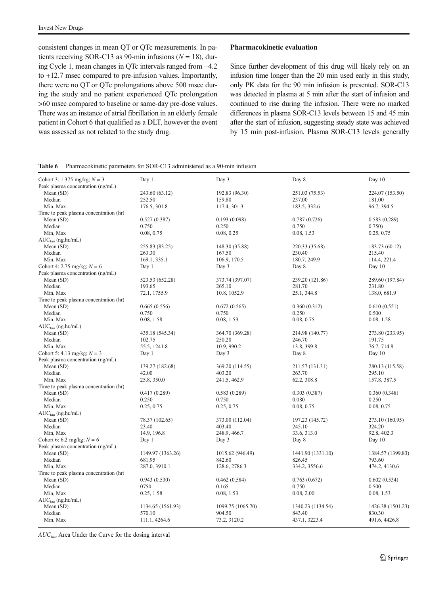<span id="page-6-0"></span>consistent changes in mean QT or QTc measurements. In patients receiving SOR-C13 as 90-min infusions ( $N = 18$ ), during Cycle 1, mean changes in QTc intervals ranged from −4.2 to +12.7 msec compared to pre-infusion values. Importantly, there were no QT or QTc prolongations above 500 msec during the study and no patient experienced QTc prolongation >60 msec compared to baseline or same-day pre-dose values. There was an instance of atrial fibrillation in an elderly female patient in Cohort 6 that qualified as a DLT, however the event was assessed as not related to the study drug.

#### Pharmacokinetic evaluation

Since further development of this drug will likely rely on an infusion time longer than the 20 min used early in this study, only PK data for the 90 min infusion is presented. SOR-C13 was detected in plasma at 5 min after the start of infusion and continued to rise during the infusion. There were no marked differences in plasma SOR-C13 levels between 15 and 45 min after the start of infusion, suggesting steady state was achieved by 15 min post-infusion. Plasma SOR-C13 levels generally

#### Table 6 Pharmacokinetic parameters for SOR-C13 administered as a 90-min infusion

| 224.07 (153.50)<br>181.00<br>96.7, 394.5<br>0.583(0.289) |
|----------------------------------------------------------|
|                                                          |
|                                                          |
|                                                          |
|                                                          |
|                                                          |
|                                                          |
| 0.750)                                                   |
| 0.25, 0.75                                               |
|                                                          |
| 183.73 (60.12)                                           |
| 215.40                                                   |
| 114.4, 221.4                                             |
| Day 10                                                   |
|                                                          |
| 289.60 (197.84)                                          |
| 231.80                                                   |
| 138.0, 681.9                                             |
|                                                          |
| 0.610(0.551)                                             |
| 0.500                                                    |
| 0.08, 1.58                                               |
|                                                          |
| 273.80 (233.95)                                          |
| 191.75                                                   |
| 76.7, 714.8                                              |
| Day 10                                                   |
|                                                          |
| 280.13 (115.58)                                          |
| 295.10                                                   |
| 157.8, 387.5                                             |
|                                                          |
| 0.360(0.348)                                             |
| 0.250                                                    |
| 0.08, 0.75                                               |
|                                                          |
| 273.10 (160.95)                                          |
| 324.20                                                   |
| 92.8, 402.3                                              |
| Day $10$                                                 |
|                                                          |
| 1384.57 (1399.83)                                        |
| 793.60                                                   |
| 474.2, 4130.6                                            |
|                                                          |
| 0.602(0.534)                                             |
| 0.500                                                    |
| 0.08, 1.53                                               |
|                                                          |
| 1426.38 (1501.23)                                        |
| 830.30                                                   |
| 491.6, 4426.8                                            |
|                                                          |

 $AUC_{tau}$  Area Under the Curve for the dosing interval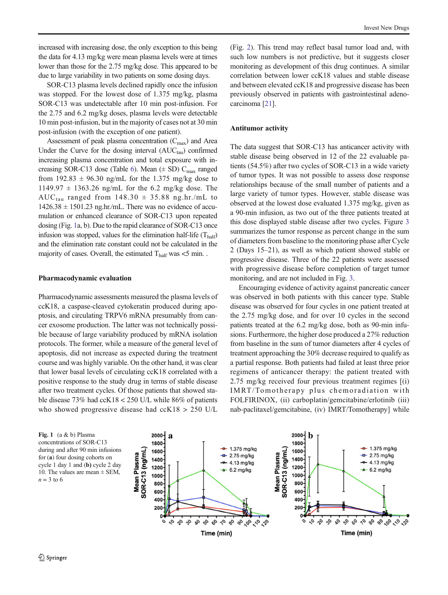increased with increasing dose, the only exception to this being the data for 4.13 mg/kg were mean plasma levels were at times lower than those for the 2.75 mg/kg dose. This appeared to be due to large variability in two patients on some dosing days.

SOR-C13 plasma levels declined rapidly once the infusion was stopped. For the lowest dose of 1.375 mg/kg, plasma SOR-C13 was undetectable after 10 min post-infusion. For the 2.75 and 6.2 mg/kg doses, plasma levels were detectable 10 min post-infusion, but in the majority of cases not at 30 min post-infusion (with the exception of one patient).

Assessment of peak plasma concentration  $(C_{\text{max}})$  and Area Under the Curve for the dosing interval  $(AUC_{tau})$  confirmed increasing plasma concentration and total exposure with in-creasing SOR-C13 dose (Table [6](#page-6-0)). Mean  $(\pm SD)$  C<sub>max</sub> ranged from 192.83  $\pm$  96.30 ng/mL for the 1.375 mg/kg dose to  $1149.97 \pm 1363.26$  ng/mL for the 6.2 mg/kg dose. The AUC<sub>tau</sub> ranged from  $148.30 \pm 35.88$  ng.hr./mL to  $1426.38 \pm 1501.23$  ng.hr./mL. There was no evidence of accumulation or enhanced clearance of SOR-C13 upon repeated dosing (Fig. 1a, b). Due to the rapid clearance of SOR-C13 once infusion was stopped, values for the elimination half-life  $(T_{\text{half}})$ and the elimination rate constant could not be calculated in the majority of cases. Overall, the estimated  $T_{\text{half}}$  was  $<$  5 min..

## Pharmacodynamic evaluation

Pharmacodynamic assessments measured the plasma levels of ccK18, a caspase-cleaved cytokeratin produced during apoptosis, and circulating TRPV6 mRNA presumably from cancer exosome production. The latter was not technically possible because of large variability produced by mRNA isolation protocols. The former, while a measure of the general level of apoptosis, did not increase as expected during the treatment course and was highly variable. On the other hand, it was clear that lower basal levels of circulating ccK18 correlated with a positive response to the study drug in terms of stable disease after two treatment cycles. Of those patients that showed stable disease 73% had ccK18 < 250 U/L while 86% of patients who showed progressive disease had ccK18 > 250 U/L

(Fig. [2](#page-8-0)). This trend may reflect basal tumor load and, with such low numbers is not predictive, but it suggests closer monitoring as development of this drug continues. A similar correlation between lower ccK18 values and stable disease and between elevated ccK18 and progressive disease has been previously observed in patients with gastrointestinal adenocarcinoma [\[21\]](#page-9-0).

#### Antitumor activity

The data suggest that SOR-C13 has anticancer activity with stable disease being observed in 12 of the 22 evaluable patients (54.5%) after two cycles of SOR-C13 in a wide variety of tumor types. It was not possible to assess dose response relationships because of the small number of patients and a large variety of tumor types. However, stable disease was observed at the lowest dose evaluated 1.375 mg/kg, given as a 90-min infusion, as two out of the three patients treated at this dose displayed stable disease after two cycles. Figure [3](#page-8-0) summarizes the tumor response as percent change in the sum of diameters from baseline to the monitoring phase after Cycle 2 (Days 15–21), as well as which patient showed stable or progressive disease. Three of the 22 patients were assessed with progressive disease before completion of target tumor monitoring, and are not included in Fig. [3](#page-8-0).

Encouraging evidence of activity against pancreatic cancer was observed in both patients with this cancer type. Stable disease was observed for four cycles in one patient treated at the 2.75 mg/kg dose, and for over 10 cycles in the second patients treated at the 6.2 mg/kg dose, both as 90-min infusions. Furthermore, the higher dose produced a 27% reduction from baseline in the sum of tumor diameters after 4 cycles of treatment approaching the 30% decrease required to qualify as a partial response. Both patients had failed at least three prior regimens of anticancer therapy: the patient treated with 2.75 mg/kg received four previous treatment regimes [(i) IMRT/Tomotherapy plus chemoradiation with FOLFIRINOX, (ii) carboplatin/gemcitabine/erlotinib (iii) nab-paclitaxel/gemcitabine, (iv) IMRT/Tomotherapy] while

Fig. 1 (a & b) Plasma concentrations of SOR-C13 during and after 90 min infusions for (a) four dosing cohorts on cycle 1 day 1 and (b) cycle 2 day 10. The values are mean  $\pm$  SEM,  $n = 3$  to 6

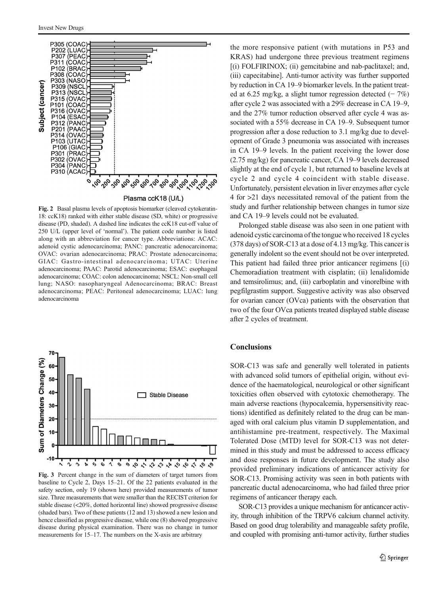<span id="page-8-0"></span>

Fig. 2 Basal plasma levels of apoptosis biomarker (cleaved cytokeratin-18: ccK18) ranked with either stable disease (SD, white) or progressive disease (PD, shaded). A dashed line indicates the ccK18 cut-off value of 250 U/L (upper level of 'normal'). The patient code number is listed along with an abbreviation for cancer type. Abbreviations: ACAC: adenoid cystic adenocarcinoma; PANC: pancreatic adenocarcinoma; OVAC: ovarian adenocarcinoma; PRAC: Prostate adenocarcinoma; GIAC: Gastro-intestinal adenocarcinoma; UTAC: Uterine adenocarcinoma; PAAC: Parotid adenocarcinoma; ESAC: esophageal adenocarcinoma; COAC: colon adenocarcinoma; NSCL: Non-small cell lung; NASO: nasopharyngeal Adenocarcinoma; BRAC: Breast adenocarcinoma; PEAC: Peritoneal adenocarcinoma; LUAC: lung adenocarcinoma



Fig. 3 Percent change in the sum of diameters of target tumors from baseline to Cycle 2, Days 15–21. Of the 22 patients evaluated in the safety section, only 19 (shown here) provided measurements of tumor size. Three measurements that were smaller than the RECIST criterion for stable disease (<20%, dotted horizontal line) showed progressive disease (shaded bars). Two of these patients (12 and 13) showed a new lesion and hence classified as progressive disease, while one (8) showed progressive disease during physical examination. There was no change in tumor measurements for 15–17. The numbers on the X-axis are arbitrary

the more responsive patient (with mutations in P53 and KRAS) had undergone three previous treatment regimens [(i) FOLFIRINOX; (ii) gemcitabine and nab-paclitaxel; and, (iii) capecitabine]. Anti-tumor activity was further supported by reduction in CA 19–9 biomarker levels. In the patient treated at 6.25 mg/kg, a slight tumor regression detected  $(-7\%)$ after cycle 2 was associated with a 29% decrease in CA 19–9, and the 27% tumor reduction observed after cycle 4 was associated with a 55% decrease in CA 19–9. Subsequent tumor progression after a dose reduction to 3.1 mg/kg due to development of Grade 3 pneumonia was associated with increases in CA 19–9 levels. In the patient receiving the lower dose (2.75 mg/kg) for pancreatic cancer, CA 19–9 levels decreased slightly at the end of cycle 1, but returned to baseline levels at cycle 2 and cycle 4 coincident with stable disease. Unfortunately, persistent elevation in liver enzymes after cycle 4 for >21 days necessitated removal of the patient from the study and further relationship between changes in tumor size and CA 19–9 levels could not be evaluated.

Prolonged stable disease was also seen in one patient with adenoid cystic carcinoma of the tongue who received 18 cycles (378 days) of SOR-C13 at a dose of 4.13 mg/kg. This cancer is generally indolent so the event should not be over interpreted. This patient had failed three prior anticancer regimens [(i) Chemoradiation treatment with cisplatin; (ii) lenalidomide and temsirolimus; and, (iii) carboplatin and vinorelbine with pegfilgrastim support. Suggestive activity was also observed for ovarian cancer (OVca) patients with the observation that two of the four OVca patients treated displayed stable disease after 2 cycles of treatment.

## **Conclusions**

SOR-C13 was safe and generally well tolerated in patients with advanced solid tumors of epithelial origin, without evidence of the haematological, neurological or other significant toxicities often observed with cytotoxic chemotherapy. The main adverse reactions (hypocalcemia, hypersensitivity reactions) identified as definitely related to the drug can be managed with oral calcium plus vitamin D supplementation, and antihistamine pre-treatment, respectively. The Maximal Tolerated Dose (MTD) level for SOR-C13 was not determined in this study and must be addressed to access efficacy and dose responses in future development. The study also provided preliminary indications of anticancer activity for SOR-C13. Promising activity was seen in both patients with pancreatic ductal adenocarcinoma, who had failed three prior regimens of anticancer therapy each.

SOR-C13 provides a unique mechanism for anticancer activity, through inhibition of the TRPV6 calcium channel activity. Based on good drug tolerability and manageable safety profile, and coupled with promising anti-tumor activity, further studies